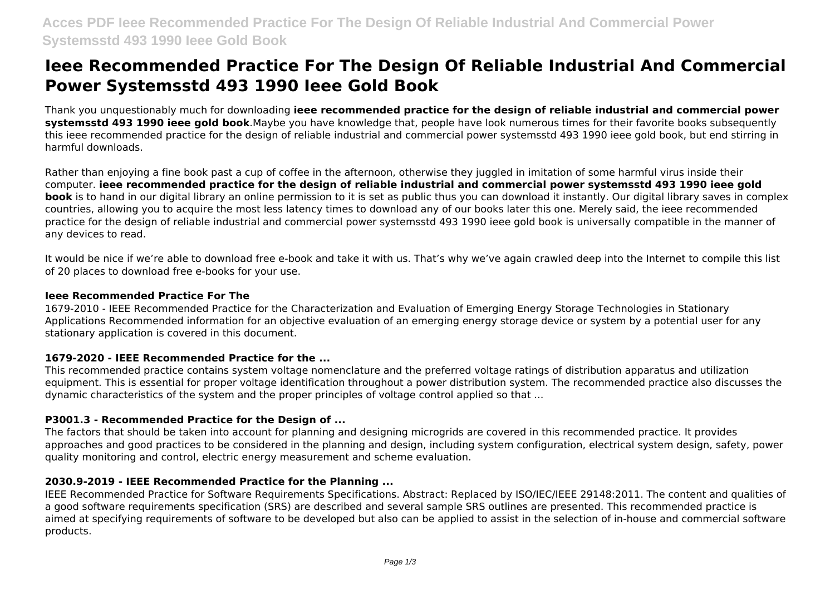# **Ieee Recommended Practice For The Design Of Reliable Industrial And Commercial Power Systemsstd 493 1990 Ieee Gold Book**

Thank you unquestionably much for downloading **ieee recommended practice for the design of reliable industrial and commercial power systemsstd 493 1990 ieee gold book**.Maybe you have knowledge that, people have look numerous times for their favorite books subsequently this ieee recommended practice for the design of reliable industrial and commercial power systemsstd 493 1990 ieee gold book, but end stirring in harmful downloads.

Rather than enjoying a fine book past a cup of coffee in the afternoon, otherwise they juggled in imitation of some harmful virus inside their computer. **ieee recommended practice for the design of reliable industrial and commercial power systemsstd 493 1990 ieee gold book** is to hand in our digital library an online permission to it is set as public thus you can download it instantly. Our digital library saves in complex countries, allowing you to acquire the most less latency times to download any of our books later this one. Merely said, the ieee recommended practice for the design of reliable industrial and commercial power systemsstd 493 1990 ieee gold book is universally compatible in the manner of any devices to read.

It would be nice if we're able to download free e-book and take it with us. That's why we've again crawled deep into the Internet to compile this list of 20 places to download free e-books for your use.

#### **Ieee Recommended Practice For The**

1679-2010 - IEEE Recommended Practice for the Characterization and Evaluation of Emerging Energy Storage Technologies in Stationary Applications Recommended information for an objective evaluation of an emerging energy storage device or system by a potential user for any stationary application is covered in this document.

# **1679-2020 - IEEE Recommended Practice for the ...**

This recommended practice contains system voltage nomenclature and the preferred voltage ratings of distribution apparatus and utilization equipment. This is essential for proper voltage identification throughout a power distribution system. The recommended practice also discusses the dynamic characteristics of the system and the proper principles of voltage control applied so that ...

# **P3001.3 - Recommended Practice for the Design of ...**

The factors that should be taken into account for planning and designing microgrids are covered in this recommended practice. It provides approaches and good practices to be considered in the planning and design, including system configuration, electrical system design, safety, power quality monitoring and control, electric energy measurement and scheme evaluation.

# **2030.9-2019 - IEEE Recommended Practice for the Planning ...**

IEEE Recommended Practice for Software Requirements Specifications. Abstract: Replaced by ISO/IEC/IEEE 29148:2011. The content and qualities of a good software requirements specification (SRS) are described and several sample SRS outlines are presented. This recommended practice is aimed at specifying requirements of software to be developed but also can be applied to assist in the selection of in-house and commercial software products.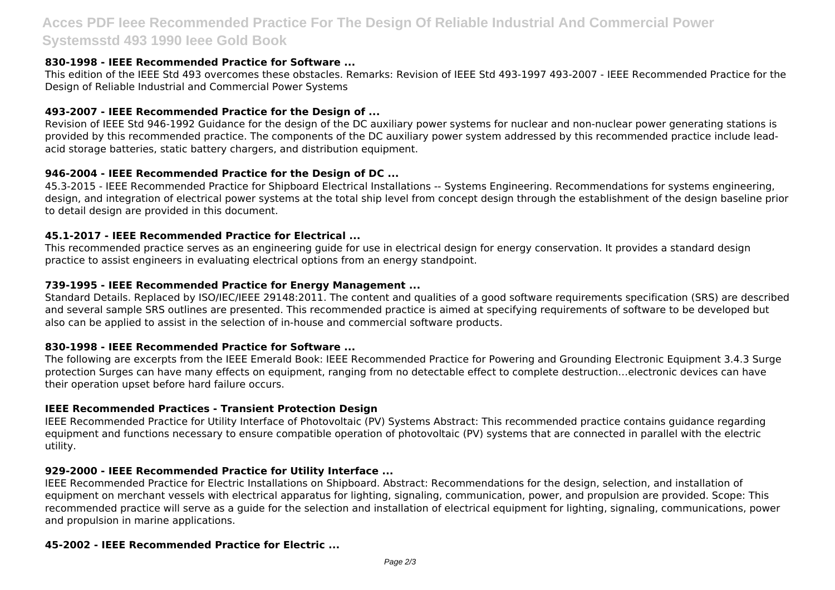# **Acces PDF Ieee Recommended Practice For The Design Of Reliable Industrial And Commercial Power Systemsstd 493 1990 Ieee Gold Book**

# **830-1998 - IEEE Recommended Practice for Software ...**

This edition of the IEEE Std 493 overcomes these obstacles. Remarks: Revision of IEEE Std 493-1997 493-2007 - IEEE Recommended Practice for the Design of Reliable Industrial and Commercial Power Systems

# **493-2007 - IEEE Recommended Practice for the Design of ...**

Revision of IEEE Std 946-1992 Guidance for the design of the DC auxiliary power systems for nuclear and non-nuclear power generating stations is provided by this recommended practice. The components of the DC auxiliary power system addressed by this recommended practice include leadacid storage batteries, static battery chargers, and distribution equipment.

# **946-2004 - IEEE Recommended Practice for the Design of DC ...**

45.3-2015 - IEEE Recommended Practice for Shipboard Electrical Installations -- Systems Engineering. Recommendations for systems engineering, design, and integration of electrical power systems at the total ship level from concept design through the establishment of the design baseline prior to detail design are provided in this document.

# **45.1-2017 - IEEE Recommended Practice for Electrical ...**

This recommended practice serves as an engineering guide for use in electrical design for energy conservation. It provides a standard design practice to assist engineers in evaluating electrical options from an energy standpoint.

# **739-1995 - IEEE Recommended Practice for Energy Management ...**

Standard Details. Replaced by ISO/IEC/IEEE 29148:2011. The content and qualities of a good software requirements specification (SRS) are described and several sample SRS outlines are presented. This recommended practice is aimed at specifying requirements of software to be developed but also can be applied to assist in the selection of in-house and commercial software products.

# **830-1998 - IEEE Recommended Practice for Software ...**

The following are excerpts from the IEEE Emerald Book: IEEE Recommended Practice for Powering and Grounding Electronic Equipment 3.4.3 Surge protection Surges can have many effects on equipment, ranging from no detectable effect to complete destruction…electronic devices can have their operation upset before hard failure occurs.

# **IEEE Recommended Practices - Transient Protection Design**

IEEE Recommended Practice for Utility Interface of Photovoltaic (PV) Systems Abstract: This recommended practice contains guidance regarding equipment and functions necessary to ensure compatible operation of photovoltaic (PV) systems that are connected in parallel with the electric utility.

# **929-2000 - IEEE Recommended Practice for Utility Interface ...**

IEEE Recommended Practice for Electric Installations on Shipboard. Abstract: Recommendations for the design, selection, and installation of equipment on merchant vessels with electrical apparatus for lighting, signaling, communication, power, and propulsion are provided. Scope: This recommended practice will serve as a guide for the selection and installation of electrical equipment for lighting, signaling, communications, power and propulsion in marine applications.

# **45-2002 - IEEE Recommended Practice for Electric ...**